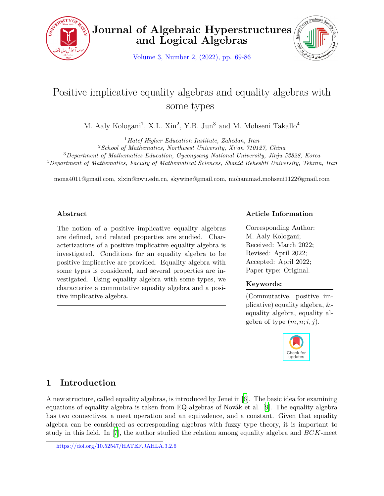



Volume 3, Number 2, (2022), pp. 69-86

# Positive implicative equality algebras and equality algebras with some types

M. Aaly Kologani<sup>1</sup>, X.L. Xin<sup>2</sup>, Y.B. Jun<sup>3</sup> and M. Mohseni Takallo<sup>4</sup>

<sup>1</sup>*Hatef Higher Education Institute, Zahedan, Iran*

<sup>2</sup>*School of Mathematics, Northwest University, Xi'an 710127, China*

<sup>3</sup>*Department of Mathematics Education, Gyeongsang National University, Jinju 52828, Korea* <sup>4</sup>*Department of Mathematics, Faculty of Mathematical Sciences, Shahid Beheshti University, Tehran, Iran*

mona4011@gmail.com, xlxin@nwu.edu.cn, skywine@gmail.com, mohammad.mohseni1122@gmail.com

### **Abstract**

The notion of a positive implicative equality algebras are defined, and related properties are studied. Characterizations of a positive implicative equality algebra is investigated. Conditions for an equality algebra to be positive implicative are provided. Equality algebra with some types is considered, and several properties are investigated. Using equality algebra with some types, we characterize a commutative equality algebra and a positive implicative algebra.

# **Article Information**

Corresponding Author: M. Aaly Kologani; Received: March 2022; Revised: April 2022; Accepted: April 2022; Paper type: Original.

# **Keywords:**

(Commutative, positive implicative) equality algebra, & equality algebra, equality algebra of type  $(m, n; i, j)$ .



# **1 Introduction**

A new structure, called equality algebras, is introduced by Jenei in [\[6\]](#page-17-0). The basic idea for examining equations of equality algebra is taken from EQ-algebras of Novák et al. [[9](#page-17-1)]. The equality algebra has two connectives, a meet operation and an equivalence, and a constant. Given that equality algebra can be considered as corresponding algebras with fuzzy type theory, it is important to study in this field. In [\[7\]](#page-17-2), the author studied the relation among equality algebra and *BCK*-meet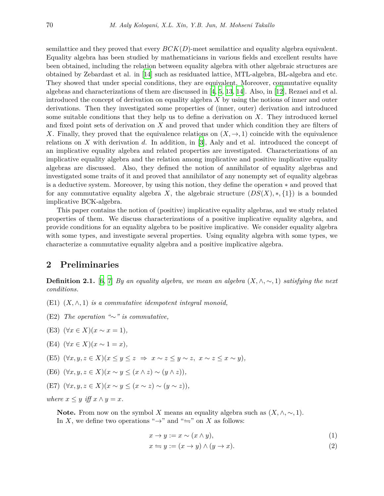semilattice and they proved that every *BCK*(*D*)-meet semilattice and equality algebra equivalent. Equality algebra has been studied by mathematicians in various fields and excellent results have been obtained, including the relation between equality algebra with other algebraic structures are obtained by Zebardast et al. in [\[14](#page-17-3)] such as residuated lattice, MTL-algebra, BL-algebra and etc. They showed that under special conditions, they are equivalent. Moreover, commutative equality algebras and characterizations of them are discussed in [\[4,](#page-16-0) [5](#page-17-4), [13,](#page-17-5) [14\]](#page-17-3). Also, in [\[12](#page-17-6)], Rezaei and et al. introduced the concept of derivation on equality algebra *X* by using the notions of inner and outer derivations. Then they investigated some properties of (inner, outer) derivation and introduced some suitable conditions that they help us to define a derivation on *X*. They introduced kernel and fixed point sets of derivation on *X* and proved that under which condition they are filters of *X*. Finally, they proved that the equivalence relations on  $(X, \rightarrow, 1)$  coincide with the equivalence relations on *X* with derivation *d*. In addition, in [[3\]](#page-17-7), Aaly and et al. introduced the concept of an implicative equality algebra and related properties are investigated. Characterizations of an implicative equality algebra and the relation among implicative and positive implicative equality algebras are discussed. Also, they defined the notion of annihilator of equality algebras and investigated some traits of it and proved that annihilator of any nonempty set of equality algebras is a deductive system. Moreover, by using this notion, they define the operation *∗* and proved that for any commutative equality algebra *X*, the algebraic structure  $(DS(X), *, \{1\})$  is a bounded implicative BCK-algebra.

This paper contains the notion of (positive) implicative equality algebras, and we study related properties of them. We discuss characterizations of a positive implicative equality algebra, and provide conditions for an equality algebra to be positive implicative. We consider equality algebra with some types, and investigate several properties. Using equality algebra with some types, we characterize a commutative equality algebra and a positive implicative algebra.

# **2 Preliminaries**

**Definition 2.1.** [[6](#page-17-0), [7](#page-17-2)] *By an equality algebra, we mean an algebra*  $(X, \wedge, \sim, 1)$  *satisfying the next conditions.*

- (E1)  $(X, \wedge, 1)$  *is a commutative idempotent integral monoid,*
- (E2) *The operation "∼" is commutative,*
- (E3)  $(\forall x \in X)(x \sim x = 1)$ ,
- (E4)  $(∀x ∈ X)(x ∼ 1 = x),$
- (E5)  $(\forall x, y, z \in X)(x \leq y \leq z \Rightarrow x \sim z \leq y \sim z, x \sim z \leq x \sim y),$
- (E6)  $(\forall x, y, z \in X) (x \sim y \leq (x \land z) \sim (y \land z))$ ,
- (E7)  $(∀x, y, z ∈ X)(x ∼ y ≤ (x ∼ z) ∼ (y ∼ z)),$

*where*  $x \leq y$  *iff*  $x \wedge y = x$ *.* 

**Note.** From now on the symbol *X* means an equality algebra such as  $(X, \wedge, \sim, 1)$ . In *X*, we define two operations " $\rightarrow$ " and " $\leftrightharpoons$ " on *X* as follows:

$$
x \to y := x \sim (x \land y), \tag{1}
$$

$$
x \leftrightharpoons y := (x \to y) \land (y \to x). \tag{2}
$$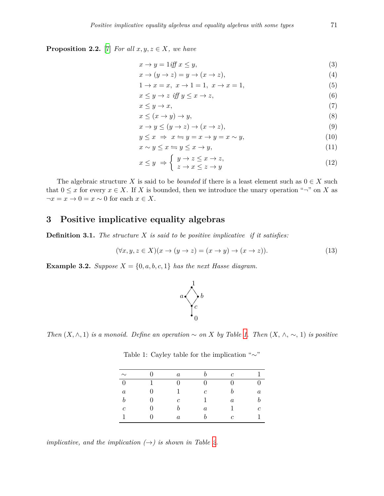**Proposition 2.2.** [\[7](#page-17-2)] *For all*  $x, y, z \in X$ *, we have* 

<span id="page-2-7"></span><span id="page-2-3"></span>
$$
x \to y = 1 \text{ iff } x \le y,\tag{3}
$$

$$
x \to (y \to z) = y \to (x \to z), \tag{4}
$$

<span id="page-2-9"></span><span id="page-2-2"></span>
$$
1 \to x = x, \ x \to 1 = 1, \ x \to x = 1,\tag{5}
$$

<span id="page-2-4"></span>
$$
x \le y \to z \quad \text{iff} \quad y \le x \to z,\tag{6}
$$

<span id="page-2-8"></span>
$$
x \le y \to x,\tag{7}
$$

<span id="page-2-6"></span>
$$
x \le (x \to y) \to y,\tag{8}
$$

$$
x \to y \le (y \to z) \to (x \to z), \tag{9}
$$

$$
y \le x \implies x \leftrightharpoons y = x \to y = x \sim y,\tag{10}
$$

$$
x \sim y \le x \Longleftrightarrow y \le x \rightarrow y,\tag{11}
$$

<span id="page-2-5"></span>
$$
x \le y \Rightarrow \begin{cases} y \to z \le x \to z, \\ z \to x \le z \to y \end{cases}
$$
 (12)

The algebraic structure *X* is said to be *bounded* if there is a least element such as  $0 \in X$  such that  $0 \leq x$  for every  $x \in X$ . If *X* is bounded, then we introduce the unary operation " $\neg$ " on *X* as  $\neg x = x \rightarrow 0$  =  $x \sim 0$  for each  $x \in X$ .

# **3 Positive implicative equality algebras**

**Definition 3.1.** *The structure X is said to be positive implicative if it satisfies:*

$$
(\forall x, y, z \in X)(x \to (y \to z) = (x \to y) \to (x \to z)).
$$
\n(13)

<span id="page-2-10"></span>**Example 3.2.** *Suppose*  $X = \{0, a, b, c, 1\}$  *has the next Hasse diagram.* 

<span id="page-2-1"></span>

<span id="page-2-0"></span>*Then*  $(X, \wedge, 1)$  *is a monoid. Define an operation*  $\sim$  *on X by Table [1.](#page-2-0) Then*  $(X, \wedge, \sim, 1)$  *is positive* 

| $\sim$           | ∩            | $\boldsymbol{a}$ |         | $\epsilon$       |         |
|------------------|--------------|------------------|---------|------------------|---------|
| $\Omega$         |              |                  |         |                  |         |
| $\boldsymbol{a}$ | $\mathbf{0}$ |                  | C       | h                | $\it a$ |
|                  | $\mathbf{0}$ | $\epsilon$       |         | $\boldsymbol{a}$ |         |
| $\epsilon$       | $\mathbf{0}$ | h                | $\it a$ |                  | c       |
|                  |              | $\boldsymbol{a}$ |         | $\epsilon$       |         |

Table 1: Cayley table for the implication "*∼*"

*implicative, and the implication*  $(\rightarrow)$  *is shown in Table [2](#page-3-0).*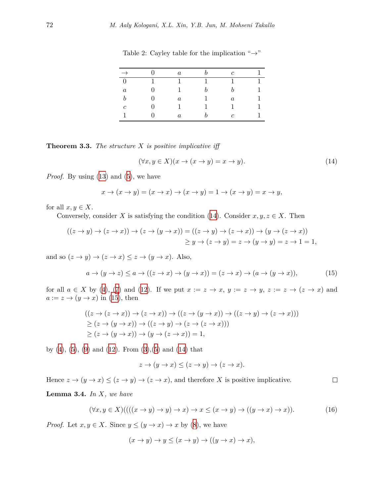| $\rightarrow$  | $\boldsymbol{a}$ |   | с                |  |
|----------------|------------------|---|------------------|--|
| $\theta$       |                  |   |                  |  |
| $\it a$        |                  | h | h                |  |
| h              | $\boldsymbol{a}$ |   | $\boldsymbol{a}$ |  |
| $\mathfrak{c}$ |                  |   |                  |  |
|                | $\boldsymbol{a}$ |   | с                |  |

<span id="page-3-0"></span>Table 2: Cayley table for the implication "*→*"

<span id="page-3-4"></span>**Theorem 3.3.** *The structure X is positive implicative iff*

<span id="page-3-2"></span><span id="page-3-1"></span>
$$
(\forall x, y \in X)(x \to (x \to y) = x \to y). \tag{14}
$$

*Proof.* By using ([13\)](#page-2-1) and [\(5\)](#page-2-2), we have

$$
x \to (x \to y) = (x \to x) \to (x \to y) = 1 \to (x \to y) = x \to y,
$$

for all  $x, y \in X$ .

Conversely, consider *X* is satisfying the condition ([14](#page-3-1)). Consider  $x, y, z \in X$ . Then

$$
((z \to y) \to (z \to x)) \to (z \to (y \to x)) = ((z \to y) \to (z \to x)) \to (y \to (z \to x))
$$
  

$$
\geq y \to (z \to y) = z \to (y \to y) = z \to 1 = 1,
$$

and so  $(z \rightarrow y) \rightarrow (z \rightarrow x) \leq z \rightarrow (y \rightarrow x)$ . Also,

$$
a \to (y \to z) \le a \to ((z \to x) \to (y \to x)) = (z \to x) \to (a \to (y \to x)), \tag{15}
$$

for all  $a \in X$  by ([4](#page-2-3)), [\(7\)](#page-2-4) and [\(12](#page-2-5)). If we put  $x := z \rightarrow x$ ,  $y := z \rightarrow y$ ,  $z := z \rightarrow (z \rightarrow x)$  and  $a := z \rightarrow (y \rightarrow x)$  in ([15\)](#page-3-2), then

$$
((z \to (z \to x)) \to (z \to x)) \to ((z \to (y \to x)) \to ((z \to y) \to (z \to x)))
$$
  
\n
$$
\geq (z \to (y \to x)) \to ((z \to y) \to (z \to (z \to x)))
$$
  
\n
$$
\geq (z \to (y \to x)) \to (y \to (z \to x)) = 1,
$$

by  $(4)$ ,  $(5)$  $(5)$  $(5)$ ,  $(9)$  and  $(12)$  $(12)$ . From  $(3)$ ,  $(5)$  $(5)$  and  $(14)$  $(14)$  that

$$
z \to (y \to x) \le (z \to y) \to (z \to x).
$$

Hence  $z \to (y \to x) \leq (z \to y) \to (z \to x)$ , and therefore *X* is positive implicative.  $\Box$ 

<span id="page-3-3"></span>**Lemma 3.4.** *In X, we have*

$$
(\forall x, y \in X) ((( (x \to y) \to y) \to x) \to x \le (x \to y) \to ((y \to x) \to x)). \tag{16}
$$

*Proof.* Let  $x, y \in X$ . Since  $y \leq (y \to x) \to x$  by ([8](#page-2-8)), we have

$$
(x \to y) \to y \le (x \to y) \to ((y \to x) \to x),
$$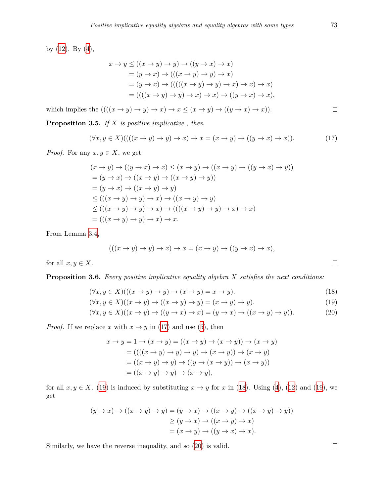by  $(12)$  $(12)$ . By  $(4)$ ,

$$
x \to y \le ((x \to y) \to y) \to ((y \to x) \to x)
$$
  
=  $(y \to x) \to (((x \to y) \to y) \to x)$   
=  $(y \to x) \to (((((x \to y) \to y) \to x) \to x) \to x)$   
=  $(((x \to y) \to y) \to x) \to x) \to ((y \to x) \to x),$ 

which implies the  $(((x \rightarrow y) \rightarrow y) \rightarrow x) \rightarrow x \leq (x \rightarrow y) \rightarrow ((y \rightarrow x) \rightarrow x))$ .

**Proposition 3.5.** *If X is positive implicative , then*

$$
(\forall x, y \in X) (((x \to y) \to y) \to x) \to x = (x \to y) \to ((y \to x) \to x)).
$$
\n(17)

*Proof.* For any  $x, y \in X$ , we get

$$
(x \to y) \to ((y \to x) \to x) \le (x \to y) \to ((x \to y) \to ((y \to x) \to y)))
$$
  
=  $(y \to x) \to ((x \to y) \to ((x \to y) \to y))$   
=  $(y \to x) \to ((x \to y) \to y)$   
 $\le (((x \to y) \to y) \to x) \to ((x \to y) \to y) \to x) \to x)$   
=  $((x \to y) \to y) \to x) \to x$ .

From Lemma [3.4](#page-3-3),

$$
(((x \to y) \to y) \to x) \to x = (x \to y) \to ((y \to x) \to x),
$$

for all  $x, y \in X$ .

**Proposition 3.6.** *Every positive implicative equality algebra X satisfies the next conditions:*

$$
(\forall x, y \in X) (((x \to y) \to y) \to (x \to y) = x \to y).
$$
\n(18)

$$
(\forall x, y \in X)((x \to y) \to ((x \to y) \to y) = (x \to y) \to y).
$$
\n(19)

$$
(\forall x, y \in X)((x \to y) \to ((y \to x) \to x) = (y \to x) \to ((x \to y) \to y)).
$$
\n(20)

*Proof.* If we replace *x* with  $x \to y$  in [\(17](#page-4-0)) and use [\(5\)](#page-2-2), then

$$
x \to y = 1 \to (x \to y) = ((x \to y) \to (x \to y)) \to (x \to y)
$$
  
= 
$$
(((x \to y) \to y) \to y) \to (x \to y)) \to (x \to y)
$$
  
= 
$$
((x \to y) \to y) \to ((y \to (x \to y)) \to (x \to y))
$$
  
= 
$$
((x \to y) \to y) \to (x \to y),
$$

for all  $x, y \in X$ . [\(19\)](#page-4-1) is induced by substituting  $x \to y$  for  $x$  in ([18\)](#page-4-2). Using [\(4](#page-2-3)), ([12\)](#page-2-5) and (19), we get

$$
(y \to x) \to ((x \to y) \to y) = (y \to x) \to ((x \to y) \to ((x \to y) \to y)))
$$
  
\n
$$
\geq (y \to x) \to ((x \to y) \to x)
$$
  
\n
$$
= (x \to y) \to ((y \to x) \to x).
$$

Similarly, we have the reverse inequality, and so [\(20](#page-4-3)) is valid.

<span id="page-4-0"></span> $\Box$ 

<span id="page-4-3"></span><span id="page-4-2"></span><span id="page-4-1"></span> $\Box$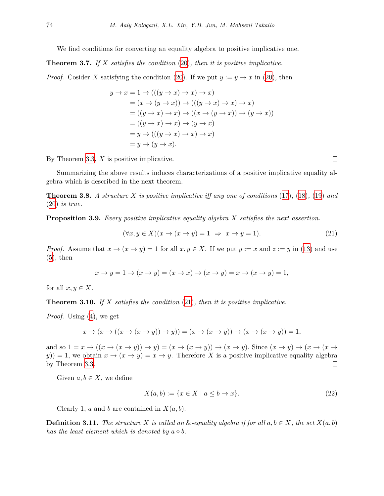We find conditions for converting an equality algebra to positive implicative one.

<span id="page-5-1"></span>**Theorem 3.7.** *If X satisfies the condition* [\(20\)](#page-4-3)*, then it is positive implicative.*

*Proof.* Cosider *X* satisfying the condition [\(20](#page-4-3)). If we put  $y := y \rightarrow x$  in (20), then

$$
y \to x = 1 \to (((y \to x) \to x) \to x)
$$
  
=  $(x \to (y \to x)) \to (((y \to x) \to x) \to x)$   
=  $((y \to x) \to x) \to ((x \to (y \to x)) \to (y \to x))$   
=  $((y \to x) \to x) \to (y \to x)$   
=  $y \to (((y \to x) \to x) \to x)$   
=  $y \to (y \to x).$ 

By Theorem [3.3,](#page-3-4) *X* is positive implicative.

Summarizing the above results induces characterizations of a positive implicative equality algebra which is described in the next theorem.

**Theorem 3.8.** *A structure X is positive implicative iff any one of conditions* ([17](#page-4-0))*,* ([18\)](#page-4-2)*,* [\(19](#page-4-1)) *and* ([20\)](#page-4-3) *is true.*

**Proposition 3.9.** *Every positive implicative equality algebra X satisfies the next assertion.*

$$
(\forall x, y \in X)(x \to (x \to y) = 1 \Rightarrow x \to y = 1). \tag{21}
$$

*Proof.* Assume that  $x \to (x \to y) = 1$  for all  $x, y \in X$ . If we put  $y := x$  and  $z := y$  in ([13\)](#page-2-1) and use  $(5)$  $(5)$  $(5)$ , then

$$
x \to y = 1 \to (x \to y) = (x \to x) \to (x \to y) = x \to (x \to y) = 1,
$$

for all  $x, y \in X$ .

**Theorem 3.10.** *If X satisfies the condition* [\(21](#page-5-0))*, then it is positive implicative.*

*Proof.* Using ([4](#page-2-3)), we get

$$
x \to (x \to ((x \to (x \to y)) \to y)) = (x \to (x \to y)) \to (x \to (x \to y)) = 1,
$$

and so  $1 = x \rightarrow ((x \rightarrow (x \rightarrow y)) \rightarrow y) = (x \rightarrow (x \rightarrow y)) \rightarrow (x \rightarrow y)$ . Since  $(x \rightarrow y) \rightarrow (x \rightarrow (x \rightarrow y))$  $y$ )) = 1, we obtain  $x \to (x \to y) = x \to y$ . Therefore *X* is a positive implicative equality algebra by Theorem [3.3.](#page-3-4)  $\Box$ 

Given  $a, b \in X$ , we define

$$
X(a,b) := \{x \in X \mid a \le b \to x\}.\tag{22}
$$

Clearly 1, *a* and *b* are contained in  $X(a, b)$ .

**Definition 3.11.** *The structure*  $X$  *is called an*  $\&$ -equality algebra if for all  $a, b \in X$ , the set  $X(a, b)$ *has the least element which is denoted by*  $a \diamond b$ .

<span id="page-5-0"></span> $\Box$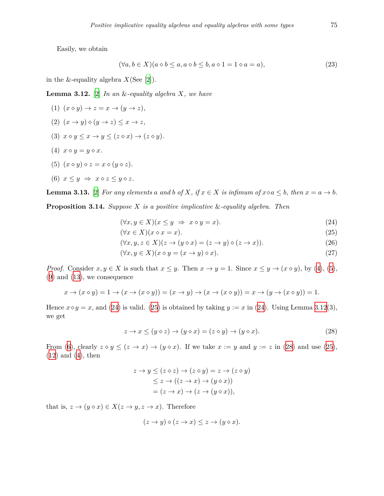Easily, we obtain

$$
(\forall a, b \in X)(a \diamond b \le a, a \diamond b \le b, a \diamond 1 = 1 \diamond a = a), \tag{23}
$$

in the &-equality algebra  $X$ (See [[2](#page-16-1)]).

<span id="page-6-2"></span>**Lemma 3.12.** [[2](#page-16-1)] *In an* &*-equality algebra X, we have*

$$
(1) (x \diamond y) \rightarrow z = x \rightarrow (y \rightarrow z),
$$

$$
(2) \ \ (x \to y) \diamond (y \to z) \le x \to z,
$$

- (3)  $x \diamond y \leq x \rightarrow y \leq (z \diamond x) \rightarrow (z \diamond y)$ .
- (4)  $x \diamond y = y \diamond x$ .
- (5)  $(x \diamond y) \diamond z = x \diamond (y \diamond z)$ .

$$
(6) \ x \leq y \ \Rightarrow \ x \diamond z \leq y \diamond z.
$$

<span id="page-6-5"></span>**Lemma 3.13.** [\[2\]](#page-16-1) For any elements a and b of X, if  $x \in X$  is infimum of  $x \diamond a \leq b$ , then  $x = a \rightarrow b$ .

<span id="page-6-7"></span>**Proposition 3.14.** *Suppose X is a positive implicative* &*-equality algebra. Then*

<span id="page-6-0"></span>
$$
(\forall x, y \in X)(x \le y \Rightarrow x \diamond y = x). \tag{24}
$$

<span id="page-6-4"></span><span id="page-6-1"></span>
$$
(\forall x \in X)(x \diamond x = x). \tag{25}
$$

$$
(\forall x, y, z \in X)(z \to (y \diamond x) = (z \to y) \diamond (z \to x)).
$$
\n
$$
(26)
$$

<span id="page-6-6"></span>
$$
(\forall x, y \in X)(x \diamond y = (x \to y) \diamond x). \tag{27}
$$

*Proof.* Consider  $x, y \in X$  is such that  $x \leq y$ . Then  $x \to y = 1$ . Since  $x \leq y \to (x \diamond y)$ , by ([4](#page-2-3)), ([5](#page-2-2)), ([9](#page-2-6)) and ([13\)](#page-2-1), we consequence

$$
x \to (x \diamond y) = 1 \to (x \to (x \diamond y)) = (x \to y) \to (x \to (x \diamond y)) = x \to (y \to (x \diamond y)) = 1.
$$

Hence  $x \diamond y = x$ , and ([24](#page-6-0)) is valid. ([25\)](#page-6-1) is obtained by taking  $y := x$  in ([24\)](#page-6-0). Using Lemma [3.12](#page-6-2)(3), we get

$$
z \to x \le (y \diamond z) \to (y \diamond x) = (z \diamond y) \to (y \diamond x). \tag{28}
$$

From [\(6\)](#page-2-9), clearly  $z \circ y \leq (z \to x) \to (y \circ x)$ . If we take  $x := y$  and  $y := z$  in ([28\)](#page-6-3) and use [\(25](#page-6-1)), ([12\)](#page-2-5) and [\(4\)](#page-2-3), then

<span id="page-6-3"></span>
$$
z \to y \le (z \diamond z) \to (z \diamond y) = z \to (z \diamond y)
$$
  
\n
$$
\le z \to ((z \to x) \to (y \diamond x))
$$
  
\n
$$
= (z \to x) \to (z \to (y \diamond x)),
$$

that is,  $z \to (y \diamond x) \in X(z \to y, z \to x)$ . Therefore

$$
(z \to y) \diamond (z \to x) \leq z \to (y \diamond x).
$$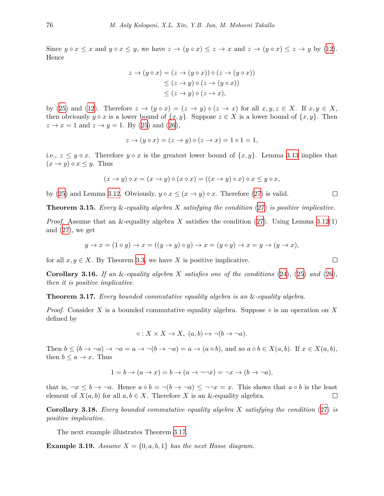Since  $y \circ x \le x$  and  $y \circ x \le y$ , we have  $z \to (y \circ x) \le z \to x$  and  $z \to (y \circ x) \le z \to y$  by [\(12](#page-2-5)). Hence

$$
z \to (y \diamond x) = (z \to (y \diamond x)) \diamond (z \to (y \diamond x))
$$
  
\n
$$
\leq (z \to y) \diamond (z \to (y \diamond x))
$$
  
\n
$$
\leq (z \to y) \diamond (z \to x),
$$

by ([25\)](#page-6-1) and ([12\)](#page-2-5). Therefore  $z \to (y \diamond x) = (z \to y) \diamond (z \to x)$  for all  $x, y, z \in X$ . If  $x, y \in X$ , then obviously  $y \diamond x$  is a lower bound of  $\{x, y\}$ . Suppose  $z \in X$  is a lower bound of  $\{x, y\}$ . Then  $z \rightarrow x = 1$  and  $z \rightarrow y = 1$ . By ([25\)](#page-6-1) and [\(26\)](#page-6-4),

$$
z \to (y \diamond x) = (z \to y) \diamond (z \to x) = 1 \diamond 1 = 1,
$$

i.e.,  $z \leq y \diamond x$ . Therefore  $y \diamond x$  is the greatest lower bound of  $\{x, y\}$ . Lemma [3.13](#page-6-5) implies that  $(x \rightarrow y) \diamond x \leq y$ . Thus

$$
(x \to y) \diamond x = (x \to y) \diamond (x \diamond x) = ((x \to y) \diamond x) \diamond x \le y \diamond x,
$$

by [\(25](#page-6-1)) and Lemma [3.12](#page-6-2). Obviously,  $y \circ x \leq (x \to y) \circ x$ . Therefore [\(27\)](#page-6-6) is valid.

**Theorem 3.15.** *Every* &*-equality algebra X satisfying the condition* ([27\)](#page-6-6) *is positive implicative.*

*Proof.* Assume that an &-equality algebra *X* satisfies the condition [\(27](#page-6-6)). Using Lemma [3.12](#page-6-2)(1) and  $(27)$  $(27)$ , we get

$$
y \to x = (1 \diamond y) \to x = ((y \to y) \diamond y) \to x = (y \diamond y) \to x = y \to (y \to x),
$$

for all  $x, y \in X$ . By Theorem [3.3,](#page-3-4) we have X is positive implicative.

**Corollary 3.16.** *If an* &*-equality algebra X satisfies one of the conditions* [\(24](#page-6-0))*,* ([25\)](#page-6-1) *and* ([26\)](#page-6-4)*, then it is positive implicative.*

<span id="page-7-0"></span>**Theorem 3.17.** *Every bounded commutative equality algebra is an* &*-equality algebra.*

*Proof.* Consider X is a bounded commutative equality algebra. Suppose  $\diamond$  is an operation on X defined by

 $\diamond: X \times X \to X, \ (a, b) \mapsto \neg(b \to \neg a).$ 

Then  $b \le (b \to \neg a) \to \neg a = a \to \neg (b \to \neg a) = a \to (a \diamond b)$ , and so  $a \diamond b \in X(a, b)$ . If  $x \in X(a, b)$ , then  $b \leq a \rightarrow x$ . Thus

$$
1 = b \to (a \to x) = b \to (a \to \neg\neg x) = \neg x \to (b \to \neg a),
$$

that is,  $\neg x \leq b \rightarrow \neg a$ . Hence  $a \diamond b = \neg(b \rightarrow \neg a) \leq \neg \neg x = x$ . This shows that  $a \diamond b$  is the least element of  $X(a, b)$  for all  $a, b \in X$ . Therefore X is an &-equality algebra.  $\Box$ 

**Corollary 3.18.** *Every bounded commutative equality algebra X satisfying the condition* ([27\)](#page-6-6) *is positive implicative.*

The next example illustrates Theorem [3.17](#page-7-0).

<span id="page-7-1"></span>**Example 3.19.** *Assume*  $X = \{0, a, b, 1\}$  *has the next Hasse diagram.* 

 $\Box$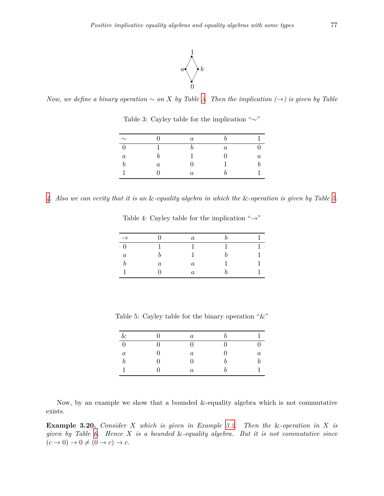

<span id="page-8-0"></span>*Now, we define a binary operation*  $∼$  *on*  $X$  *by Table [3.](#page-8-0) Then the implication*  $(→)$  *is given by Table* 

| $\sim$           |         | $\boldsymbol{a}$ |                  |         |
|------------------|---------|------------------|------------------|---------|
|                  |         |                  | $\boldsymbol{a}$ |         |
| $\boldsymbol{a}$ |         |                  |                  | $\it a$ |
|                  | $\it a$ | 0                |                  |         |
|                  |         | $\boldsymbol{a}$ |                  |         |

Table 3: Cayley table for the implication "*∼*"

<span id="page-8-1"></span>*[4](#page-8-1). Also we can verity that it is an* &*-equality algebra in which the* &*-operation is given by Table [5.](#page-8-2)*

Table 4: Cayley table for the implication "*→*"

| $\rightarrow$    |         | $\it a$ |  |
|------------------|---------|---------|--|
| O                |         |         |  |
| $\boldsymbol{a}$ | h       |         |  |
|                  | $\it a$ | $\it a$ |  |
|                  |         | $\it a$ |  |

<span id="page-8-2"></span>Table 5: Cayley table for the binary operation "&"

| $\&$             | $\boldsymbol{a}$ |   |         |
|------------------|------------------|---|---------|
| $\overline{0}$   | $\left( \right)$ | ∩ |         |
| $\boldsymbol{a}$ | $\boldsymbol{a}$ | 0 | $\it a$ |
| $\boldsymbol{b}$ | 0                | h |         |
| 1                | $\boldsymbol{a}$ | h |         |

Now, by an example we show that a bounded &-equality algebra which is not commutative exists.

**Example 3.20.** *Consider X which is given in Example [3.2](#page-2-10). Then the* &*-operation in X is given by Table [6](#page-9-0). Hence X is a bounded* &*-equality algebra. But it is not commutative since*  $(c \to 0) \to 0 \neq (0 \to c) \to c$ .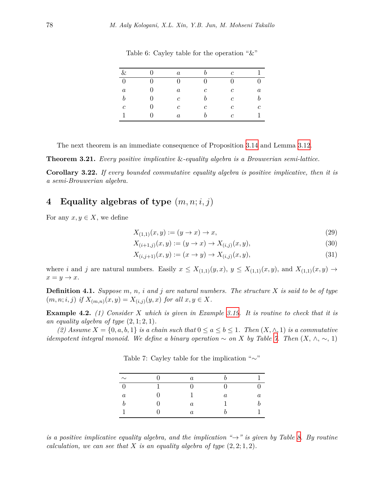<span id="page-9-0"></span>

| &                |                   | $\alpha$         |               | $\mathcal{C}$ |         |
|------------------|-------------------|------------------|---------------|---------------|---------|
| $\boldsymbol{0}$ | $\mathbf{0}$      | 0                | 0             | 0             |         |
| $\boldsymbol{a}$ | $\mathbf{0}$      | $\boldsymbol{a}$ | $\mathfrak c$ | $\mathfrak c$ | $\it a$ |
| $\boldsymbol{b}$ | $\mathbf{\Omega}$ | $\mathfrak{c}$   |               | $\mathfrak c$ | h       |
| $\boldsymbol{c}$ |                   | $\mathfrak{c}$   | С             | $\mathfrak c$ | $\,c\,$ |
|                  |                   | $\boldsymbol{a}$ |               | C             |         |

Table 6: Cayley table for the operation " $&$ "

The next theorem is an immediate consequence of Proposition [3.14](#page-6-7) and Lemma [3.12.](#page-6-2)

**Theorem 3.21.** *Every positive implicative* &*-equality algebra is a Brouwerian semi-lattice.*

**Corollary 3.22.** *If every bounded commutative equality algebra is positive implicative, then it is a semi-Brouwerian algebra.*

# **4 Equality algebras of type** (*m, n*; *i, j*)

For any  $x, y \in X$ , we define

$$
X_{(1,1)}(x,y) := (y \to x) \to x,\tag{29}
$$

$$
X_{(i+1,j)}(x,y) := (y \to x) \to X_{(i,j)}(x,y),\tag{30}
$$

$$
X_{(i,j+1)}(x,y) := (x \to y) \to X_{(i,j)}(x,y),\tag{31}
$$

where *i* and *j* are natural numbers. Easily  $x \leq X_{(1,1)}(y,x)$ ,  $y \leq X_{(1,1)}(x,y)$ , and  $X_{(1,1)}(x,y) \rightarrow$  $x = y \rightarrow x$ .

**Definition 4.1.** *Suppose m, n, i and j are natural numbers. The structure X is said to be of type*  $(m, n; i, j)$  if  $X_{(m,n)}(x, y) = X_{(i,j)}(y, x)$  for all  $x, y \in X$ .

**Example 4.2.** *(1) Consider X which is given in Example [3.19](#page-7-1). It is routine to check that it is* an equality algebra of type  $(2, 1; 2, 1)$ *.* 

<span id="page-9-1"></span> $(2)$  *Assume*  $X = \{0, a, b, 1\}$  *is a chain such that*  $0 \le a \le b \le 1$ *. Then*  $(X, \wedge, 1)$  *is a commutative idempotent integral monoid. We define a binary operation*  $\sim$  *on X by Table [7](#page-9-1). Then*  $(X, \wedge, \sim, 1)$ 

| $\sim$  | a.      |   |  |
|---------|---------|---|--|
|         |         |   |  |
| $\it a$ |         | а |  |
|         | $\it a$ |   |  |
|         | $\it a$ |   |  |

Table 7: Cayley table for the implication "*∼*"

*is a positive implicative equality algebra, and the implication "* $\rightarrow$ *" is given by Table [8](#page-10-0). By routine calculation, we can see that*  $X$  *is an equality algebra of type*  $(2, 2, 1, 2)$ *.*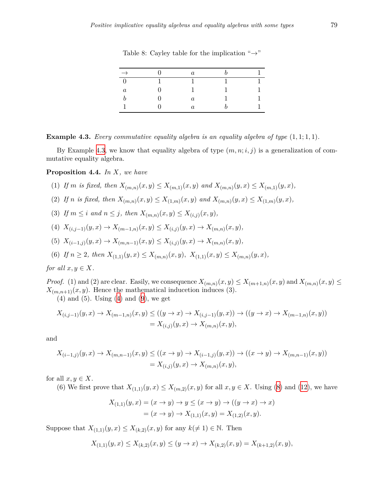<span id="page-10-0"></span>

| $\rightarrow$ | $\it a$ |  |
|---------------|---------|--|
|               |         |  |
| $\it a$       |         |  |
|               | a       |  |
|               | $\it a$ |  |

Table 8: Cayley table for the implication "*→*"

<span id="page-10-1"></span>**Example 4.3.** *Every commutative equality algebra is an equality algebra of type* (1*,* 1; 1*,* 1)*.*

By Example [4.3](#page-10-1), we know that equality algebra of type  $(m, n; i, j)$  is a generalization of commutative equality algebra.

#### **Proposition 4.4.** *In X, we have*

- (1) If *m* is fixed, then  $X_{(m,n)}(x,y) \leq X_{(m,1)}(x,y)$  and  $X_{(m,n)}(y,x) \leq X_{(m,1)}(y,x)$ ,
- (2) If *n* is fixed, then  $X_{(m,n)}(x,y) \leq X_{(1,m)}(x,y)$  and  $X_{(m,n)}(y,x) \leq X_{(1,m)}(y,x)$ ,
- (3) If  $m \leq i$  and  $n \leq j$ , then  $X_{(m,n)}(x, y) \leq X_{(i,j)}(x, y)$ ,
- (4)  $X_{(i,j-1)}(y,x) \to X_{(m-1,n)}(x,y) \leq X_{(i,j)}(y,x) \to X_{(m,n)}(x,y)$ ,
- (5)  $X_{(i-1,j)}(y,x) \to X_{(m,n-1)}(x,y) \leq X_{(i,j)}(y,x) \to X_{(m,n)}(x,y)$ ,
- (6) If  $n \geq 2$ , then  $X_{(1,1)}(y,x) \leq X_{(m,n)}(x,y)$ ,  $X_{(1,1)}(x,y) \leq X_{(m,n)}(y,x)$ ,

*for all*  $x, y \in X$ *.* 

*Proof.* (1) and (2) are clear. Easily, we consequence  $X_{(m,n)}(x,y) \leq X_{(m+1,n)}(x,y)$  and  $X_{(m,n)}(x,y) \leq X_{(m+1,n)}(x,y)$  $X_{(m,n+1)}(x, y)$ . Hence the mathematical inducetion induces (3).

 $(4)$  and  $(5)$ . Using  $(4)$  and  $(9)$  $(9)$  $(9)$ , we get

$$
X_{(i,j-1)}(y,x) \to X_{(m-1,n)}(x,y) \le ((y \to x) \to X_{(i,j-1)}(y,x)) \to ((y \to x) \to X_{(m-1,n)}(x,y))
$$
  
=  $X_{(i,j)}(y,x) \to X_{(m,n)}(x,y),$ 

and

$$
X_{(i-1,j)}(y,x) \to X_{(m,n-1)}(x,y) \le ((x \to y) \to X_{(i-1,j)}(y,x)) \to ((x \to y) \to X_{(m,n-1)}(x,y))
$$
  
=  $X_{(i,j)}(y,x) \to X_{(m,n)}(x,y),$ 

for all  $x, y \in X$ .

(6) We first prove that  $X_{(1,1)}(y, x) \leq X_{(m,2)}(x, y)$  for all  $x, y \in X$ . Using [\(8](#page-2-8)) and [\(12](#page-2-5)), we have

$$
X_{(1,1)}(y,x) = (x \to y) \to y \le (x \to y) \to ((y \to x) \to x)
$$
  
=  $(x \to y) \to X_{(1,1)}(x,y) = X_{(1,2)}(x,y)$ .

Suppose that  $X_{(1,1)}(y, x) \leq X_{(k,2)}(x, y)$  for any  $k \neq 1$ )  $\in \mathbb{N}$ . Then

$$
X_{(1,1)}(y,x) \le X_{(k,2)}(x,y) \le (y \to x) \to X_{(k,2)}(x,y) = X_{(k+1,2)}(x,y),
$$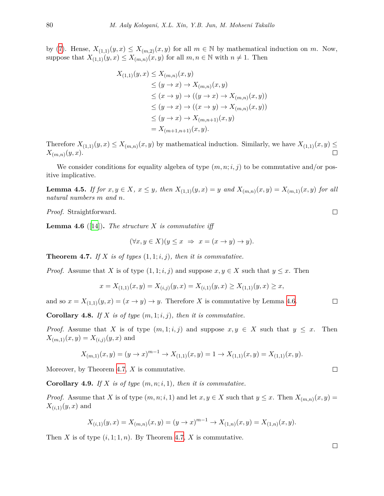by ([7](#page-2-4)). Hense,  $X_{(1,1)}(y,x) \leq X_{(m,2)}(x,y)$  for all  $m \in \mathbb{N}$  by mathematical induction on  $m$ . Now, suppose that  $X_{(1,1)}(y,x) \leq X_{(m,n)}(x,y)$  for all  $m, n \in \mathbb{N}$  with  $n \neq 1$ . Then

$$
X_{(1,1)}(y,x) \le X_{(m,n)}(x,y)
$$
  
\n
$$
\le (y \to x) \to X_{(m,n)}(x,y)
$$
  
\n
$$
\le (x \to y) \to ((y \to x) \to X_{(m,n)}(x,y))
$$
  
\n
$$
\le (y \to x) \to ((x \to y) \to X_{(m,n)}(x,y))
$$
  
\n
$$
\le (y \to x) \to X_{(m,n+1)}(x,y)
$$
  
\n
$$
= X_{(m+1,n+1)}(x,y).
$$

Therefore  $X_{(1,1)}(y,x) \leq X_{(m,n)}(x,y)$  by mathematical induction. Similarly, we have  $X_{(1,1)}(x,y) \leq$ *X*(*m,n*) (*y, x*).

We consider conditions for equality algebra of type  $(m, n; i, j)$  to be commutative and/or positive implicative.

**Lemma 4.5.** If for  $x, y \in X$ ,  $x \le y$ , then  $X_{(1,1)}(y,x) = y$  and  $X_{(m,n)}(x,y) = X_{(m,1)}(x,y)$  for all *natural numbers m and n.*

*Proof.* Straightforward.

<span id="page-11-0"></span>**Lemma 4.6** ([[14\]](#page-17-3)). *The structure*  $X$  *is commutative iff* 

$$
(\forall x, y \in X)(y \le x \Rightarrow x = (x \to y) \to y).
$$

<span id="page-11-1"></span>**Theorem 4.7.** If  $X$  is of types  $(1, 1; i, j)$ , then it is commutative.

*Proof.* Assume that *X* is of type  $(1, 1; i, j)$  and suppose  $x, y \in X$  such that  $y \leq x$ . Then

$$
x = X_{(1,1)}(x,y) = X_{(i,j)}(y,x) = X_{(i,1)}(y,x) \ge X_{(1,1)}(y,x) \ge x,
$$

and so  $x = X_{(1,1)}(y, x) = (x \rightarrow y) \rightarrow y$ . Therefore *X* is commutative by Lemma [4.6.](#page-11-0)

**Corollary 4.8.** If  $X$  is of type  $(m, 1; i, j)$ , then it is commutative.

*Proof.* Assume that *X* is of type  $(m, 1; i, j)$  and suppose  $x, y \in X$  such that  $y \leq x$ . Then  $X_{(m,1)}(x,y) = X_{(i,j)}(y,x)$  and

$$
X_{(m,1)}(x,y) = (y \to x)^{m-1} \to X_{(1,1)}(x,y) = 1 \to X_{(1,1)}(x,y) = X_{(1,1)}(x,y).
$$

Moreover, by Theorem [4.7,](#page-11-1) *X* is commutative.

**Corollary 4.9.** *If X is of type* (*m, n*;*i,* 1)*, then it is commutative.*

*Proof.* Assume that *X* is of type  $(m, n; i, 1)$  and let  $x, y \in X$  such that  $y \leq x$ . Then  $X_{(m,n)}(x, y) =$  $X_{(i,1)}(y, x)$  and

$$
X_{(i,1)}(y,x) = X_{(m,n)}(x,y) = (y \to x)^{m-1} \to X_{(1,n)}(x,y) = X_{(1,n)}(x,y).
$$

Then *X* is of type  $(i, 1; 1, n)$ . By Theorem [4.7,](#page-11-1) *X* is commutative.

 $\Box$ 

 $\Box$ 

 $\Box$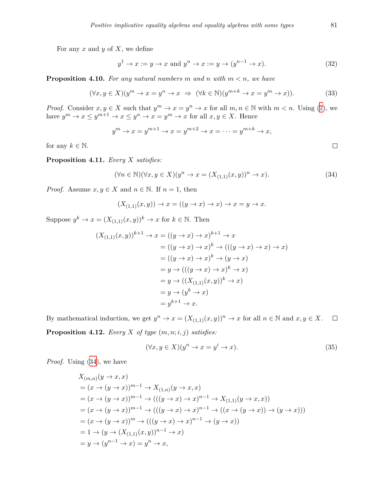For any *x* and *y* of *X*, we define

$$
y^1 \to x := y \to x \text{ and } y^n \to x := y \to (y^{n-1} \to x). \tag{32}
$$

**Proposition 4.10.** For any natural numbers  $m$  and  $n$  with  $m < n$ , we have

$$
(\forall x, y \in X)(y^m \to x = y^n \to x \implies (\forall k \in \mathbb{N})(y^{m+k} \to x = y^m \to x)).\tag{33}
$$

*Proof.* Consider  $x, y \in X$  such that  $y^m \to x = y^n \to x$  for all  $m, n \in \mathbb{N}$  with  $m < n$ . Using ([7](#page-2-4)), we have  $y^m \to x \leq y^{m+1} \to x \leq y^n \to x = y^m \to x$  for all  $x, y \in X$ . Hence

$$
y^m \to x = y^{m+1} \to x = y^{m+2} \to x = \dots = y^{m+k} \to x,
$$

for any  $k \in \mathbb{N}$ .

**Proposition 4.11.** *Every X satisfies:*

$$
(\forall n \in \mathbb{N})(\forall x, y \in X)(y^n \to x = (X_{(1,1)}(x,y))^n \to x).
$$
\n(34)

*Proof.* Assume  $x, y \in X$  and  $n \in \mathbb{N}$ . If  $n = 1$ , then

<span id="page-12-0"></span>
$$
(X_{(1,1)}(x,y)) \to x = ((y \to x) \to x) \to x = y \to x.
$$

Suppose  $y^k \to x = (X_{(1,1)}(x,y))^k \to x$  for  $k \in \mathbb{N}$ . Then

$$
(X_{(1,1)}(x,y))^{k+1} \to x = ((y \to x) \to x)^{k+1} \to x
$$
  

$$
= ((y \to x) \to x)^k \to (((y \to x) \to x) \to x)
$$
  

$$
= ((y \to x) \to x)^k \to (y \to x)
$$
  

$$
= y \to (((y \to x) \to x)^k \to x)
$$
  

$$
= y \to ((X_{(1,1)}(x,y))^k \to x)
$$
  

$$
= y \to (y^k \to x)
$$
  

$$
= y^{k+1} \to x.
$$

By mathematical induction, we get  $y^n \to x = (X_{(1,1)}(x,y))^n \to x$  for all  $n \in \mathbb{N}$  and  $x, y \in X$ .  $\Box$ **Proposition 4.12.** *Every*  $X$  *of type*  $(m, n; i, j)$  *satisfies:* 

$$
(\forall x, y \in X)(y^n \to x = y^i \to x). \tag{35}
$$

*Proof.* Using ([34\)](#page-12-0), we have

$$
X_{(m,n)}(y \to x, x)
$$
  
=  $(x \to (y \to x))^{m-1} \to X_{(1,n)}(y \to x, x)$   
=  $(x \to (y \to x))^{m-1} \to (((y \to x) \to x)^{n-1} \to X_{(1,1)}(y \to x, x))$   
=  $(x \to (y \to x))^{m-1} \to (((y \to x) \to x)^{n-1} \to ((x \to (y \to x)) \to (y \to x)))$   
=  $(x \to (y \to x))^{m} \to (((y \to x) \to x)^{n-1} \to (y \to x))$   
=  $1 \to (y \to (X_{(1,1)}(x, y))^{n-1} \to x)$   
=  $y \to (y^{n-1} \to x) = y^{n} \to x$ ,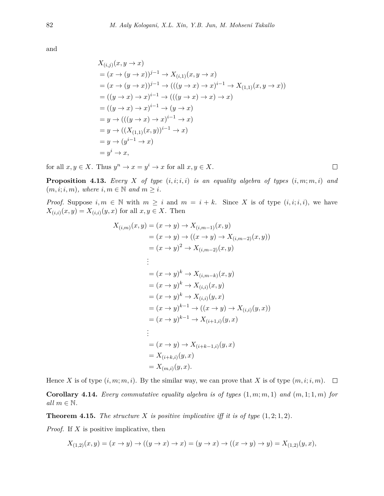and

$$
X_{(i,j)}(x, y \to x)
$$
  
=  $(x \to (y \to x))^{j-1} \to X_{(i,1)}(x, y \to x)$   
=  $(x \to (y \to x))^{j-1} \to (((y \to x) \to x)^{i-1} \to X_{(1,1)}(x, y \to x))$   
=  $((y \to x) \to x)^{i-1} \to (((y \to x) \to x) \to x)$   
=  $((y \to x) \to x)^{i-1} \to (y \to x)$   
=  $y \to (((y \to x) \to x)^{i-1} \to x)$   
=  $y \to ((X_{(1,1)}(x, y))^{i-1} \to x)$   
=  $y \to (y^{i-1} \to x)$   
=  $y^i \to x$ ,

for all  $x, y \in X$ . Thus  $y^n \to x = y^i \to x$  for all  $x, y \in X$ .

**Proposition 4.13.** *Every*  $X$  *of type*  $(i, i; i, i)$  *is an equality algebra of types*  $(i, m; m, i)$  *and*  $(m, i; i, m)$ *, where*  $i, m \in \mathbb{N}$  *and*  $m \geq i$ *.* 

*Proof.* Suppose  $i, m \in \mathbb{N}$  with  $m \geq i$  and  $m = i + k$ . Since *X* is of type  $(i, i; i, i)$ , we have  $X_{(i,i)}(x, y) = X_{(i,i)}(y, x)$  for all  $x, y \in X$ . Then

$$
X_{(i,m)}(x,y) = (x \to y) \to X_{(i,m-1)}(x,y)
$$
  
\n
$$
= (x \to y) \to ((x \to y) \to X_{(i,m-2)}(x,y))
$$
  
\n
$$
= (x \to y)^2 \to X_{(i,m-2)}(x,y)
$$
  
\n
$$
\vdots
$$
  
\n
$$
= (x \to y)^k \to X_{(i,m-k)}(x,y)
$$
  
\n
$$
= (x \to y)^k \to X_{(i,i)}(x,y)
$$
  
\n
$$
= (x \to y)^k \to X_{(i,i)}(y,x)
$$
  
\n
$$
= (x \to y)^{k-1} \to ((x \to y) \to X_{(i,i)}(y,x))
$$
  
\n
$$
= (x \to y)^{k-1} \to X_{(i+1,i)}(y,x)
$$
  
\n
$$
\vdots
$$
  
\n
$$
= (x \to y) \to X_{(i+k-1,i)}(y,x)
$$
  
\n
$$
= X_{(i+k,i)}(y,x)
$$
  
\n
$$
= X_{(m,i)}(y,x).
$$

Hence *X* is of type  $(i, m; m, i)$ . By the similar way, we can prove that *X* is of type  $(m, i; i, m)$ .  $\Box$ 

**Corollary 4.14.** *Every commutative equality algebra is of types*  $(1, m; m, 1)$  *and*  $(m, 1; 1, m)$  *for*  $all \ m \in \mathbb{N}$ .

**Theorem 4.15.** *The structure*  $X$  *is positive implicative iff it is of type*  $(1, 2; 1, 2)$ *.* 

*Proof.* If *X* is positive implicative, then

$$
X_{(1,2)}(x,y)=(x\to y)\to ((y\to x)\to x)=(y\to x)\to ((x\to y)\to y)=X_{(1,2)}(y,x),
$$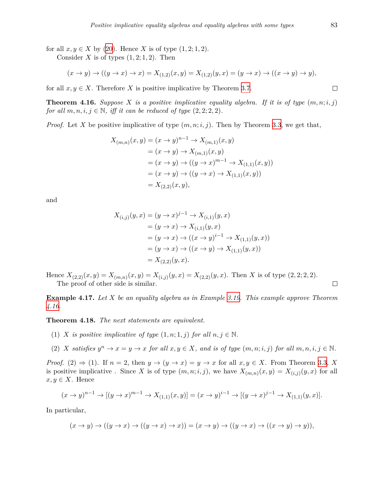for all  $x, y \in X$  by ([20\)](#page-4-3). Hence *X* is of type  $(1, 2, 1, 2)$ . Consider *X* is of types  $(1, 2, 1, 2)$ . Then

$$
(x \to y) \to ((y \to x) \to x) = X_{(1,2)}(x, y) = X_{(1,2)}(y, x) = (y \to x) \to ((x \to y) \to y),
$$

for all  $x, y \in X$ . Therefore *X* is positive implicative by Theorem [3.7.](#page-5-1)

<span id="page-14-0"></span>**Theorem 4.16.** *Suppose*  $X$  *is a positive implicative equality algebra. If it is of type*  $(m, n; i, j)$ *for all*  $m, n, i, j \in \mathbb{N}$ *, iff it can be reduced of type*  $(2, 2, 2, 2)$ *.* 

*Proof.* Let *X* be positive implicative of type  $(m, n; i, j)$ . Then by Theorem [3.3](#page-3-4), we get that,

$$
X_{(m,n)}(x,y) = (x \to y)^{n-1} \to X_{(m,1)}(x,y)
$$
  
=  $(x \to y) \to X_{(m,1)}(x,y)$   
=  $(x \to y) \to ((y \to x)^{m-1} \to X_{(1,1)}(x,y))$   
=  $(x \to y) \to ((y \to x) \to X_{(1,1)}(x,y))$   
=  $X_{(2,2)}(x,y),$ 

and

$$
X_{(i,j)}(y,x) = (y \to x)^{j-1} \to X_{(i,1)}(y,x)
$$
  
=  $(y \to x) \to X_{(i,1)}(y,x)$   
=  $(y \to x) \to ((x \to y)^{i-1} \to X_{(1,1)}(y,x))$   
=  $(y \to x) \to ((x \to y) \to X_{(1,1)}(y,x))$   
=  $X_{(2,2)}(y,x).$ 

Hence  $X_{(2,2)}(x,y) = X_{(m,n)}(x,y) = X_{(i,j)}(y,x) = X_{(2,2)}(y,x)$ . Then *X* is of type  $(2,2;2,2)$ . The proof of other side is similar.

**Example 4.17.** *Let X be an equality algebra as in Example [3.19](#page-7-1). This example approve Theorem [4.16.](#page-14-0)*

**Theorem 4.18.** *The next statements are equivalent.*

- (1) *X is positive implicative of type*  $(1, n; 1, j)$  *for all*  $n, j \in \mathbb{N}$ .
- (2) X satisfies  $y^n \to x = y \to x$  for all  $x, y \in X$ , and is of type  $(m, n; i, j)$  for all  $m, n, i, j \in \mathbb{N}$ .

*Proof.* (2)  $\Rightarrow$  (1). If  $n = 2$ , then  $y \rightarrow (y \rightarrow x) = y \rightarrow x$  for all  $x, y \in X$ . From Theorem [3.3](#page-3-4), X is positive implicative. Since *X* is of type  $(m, n; i, j)$ , we have  $X_{(m,n)}(x, y) = X_{(i,j)}(y, x)$  for all  $x, y ∈ X$ . Hence

$$
(x \to y)^{n-1} \to [(y \to x)^{m-1} \to X_{(1,1)}(x,y)] = (x \to y)^{i-1} \to [(y \to x)^{j-1} \to X_{(1,1)}(y,x)].
$$

In particular,

$$
(x \to y) \to ((y \to x) \to ((y \to x) \to x)) = (x \to y) \to ((y \to x) \to ((x \to y) \to y)),
$$

 $\Box$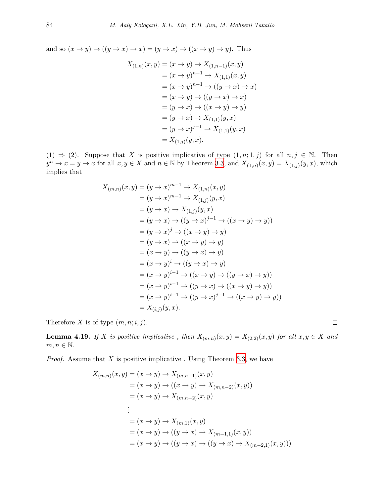and so  $(x \to y) \to ((y \to x) \to x) = (y \to x) \to ((x \to y) \to y)$ . Thus

$$
X_{(1,n)}(x,y) = (x \to y) \to X_{(1,n-1)}(x,y)
$$
  
=  $(x \to y)^{n-1} \to X_{(1,1)}(x,y)$   
=  $(x \to y)^{n-1} \to ((y \to x) \to x)$   
=  $(x \to y) \to ((y \to x) \to x)$   
=  $(y \to x) \to ((x \to y) \to y)$   
=  $(y \to x) \to X_{(1,1)}(y,x)$   
=  $(y \to x)^{j-1} \to X_{(1,1)}(y,x)$   
=  $X_{(1,j)}(y,x)$ .

(1)  $\Rightarrow$  (2). Suppose that *X* is positive implicative of type  $(1, n; 1, j)$  for all  $n, j \in \mathbb{N}$ . Then  $y^n \to x = y \to x$  for all  $x, y \in X$  and  $n \in \mathbb{N}$  by Theorem [3.3](#page-3-4), and  $X_{(1,n)}(x, y) = X_{(1,j)}(y, x)$ , which implies that

$$
X_{(m,n)}(x, y) = (y \to x)^{m-1} \to X_{(1,n)}(x, y)
$$
  
\n
$$
= (y \to x)^{m-1} \to X_{(1,j)}(y, x)
$$
  
\n
$$
= (y \to x) \to X_{(1,j)}(y, x)
$$
  
\n
$$
= (y \to x) \to ((y \to x)^{j-1} \to ((x \to y) \to y))
$$
  
\n
$$
= (y \to x)^{j} \to ((x \to y) \to y)
$$
  
\n
$$
= (y \to x) \to ((x \to y) \to y)
$$
  
\n
$$
= (x \to y) \to ((y \to x) \to y)
$$
  
\n
$$
= (x \to y)^{i-1} \to ((x \to y) \to ((y \to x) \to y))
$$
  
\n
$$
= (x \to y)^{i-1} \to ((y \to x) \to ((x \to y) \to y))
$$
  
\n
$$
= (x \to y)^{i-1} \to ((y \to x)^{j-1} \to ((x \to y) \to y))
$$
  
\n
$$
= X_{(i,j)}(y, x).
$$

Therefore  $X$  is of type  $(m, n; i, j)$ .

<span id="page-15-0"></span>**Lemma 4.19.** If *X* is positive implicative, then  $X_{(m,n)}(x,y) = X_{(2,2)}(x,y)$  for all  $x, y \in X$  and  $m, n \in \mathbb{N}$ .

*Proof.* Assume that *X* is positive implicative . Using Theorem [3.3](#page-3-4), we have

$$
X_{(m,n)}(x,y) = (x \to y) \to X_{(m,n-1)}(x,y)
$$
  
=  $(x \to y) \to ((x \to y) \to X_{(m,n-2)}(x,y))$   
=  $(x \to y) \to X_{(m,n-2)}(x,y)$   
:  
=  $(x \to y) \to X_{(m,1)}(x,y)$   
=  $(x \to y) \to ((y \to x) \to X_{(m-1,1)}(x,y))$   
=  $(x \to y) \to ((y \to x) \to ((y \to x) \to X_{(m-2,1)}(x,y)))$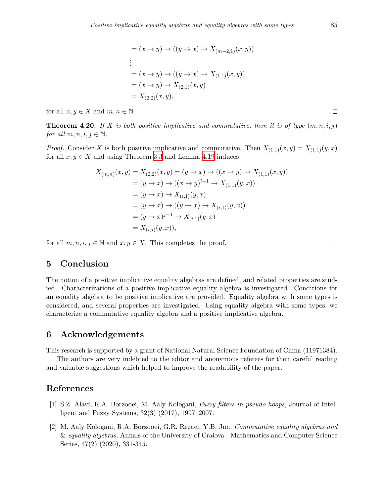$$
= (x \to y) \to ((y \to x) \to X_{(m-2,1)}(x, y))
$$
  
\n:  
\n
$$
= (x \to y) \to ((y \to x) \to X_{(1,1)}(x, y))
$$
  
\n
$$
= (x \to y) \to X_{(2,1)}(x, y)
$$
  
\n
$$
= X_{(2,2)}(x, y),
$$

for all  $x, y \in X$  and  $m, n \in \mathbb{N}$ .

**Theorem 4.20.** If X is both positive implicative and commutative, then it is of type  $(m, n; i, j)$ *for all*  $m, n, i, j \in \mathbb{N}$ .

*Proof.* Consider *X* is both positive implicative and commutative. Then  $X_{(1,1)}(x,y) = X_{(1,1)}(y,x)$ for all  $x, y \in X$  and using Theorem [3.3](#page-3-4) and Lemma [4.19](#page-15-0) induces

$$
X_{(m,n)}(x,y) = X_{(2,2)}(x,y) = (y \to x) \to ((x \to y) \to X_{(1,1)}(x,y))
$$
  
=  $(y \to x) \to ((x \to y)^{i-1} \to X_{(1,1)}(y,x))$   
=  $(y \to x) \to X_{(i,1)}(y,x)$   
=  $(y \to x) \to ((y \to x) \to X_{(i,1)}(y,x))$   
=  $(y \to x)^{j-1} \to X_{(i,1)}(y,x)$   
=  $X_{(i,j)}(y,x)$ ,

for all  $m, n, i, j \in \mathbb{N}$  and  $x, y \in X$ . This completes the proof.

 $\Box$ 

# **5 Conclusion**

The notion of a positive implicative equality algebras are defined, and related properties are studied. Characterizations of a positive implicative equality algebra is investigated. Conditions for an equality algebra to be positive implicative are provided. Equality algebra with some types is considered, and several properties are investigated. Using equality algebra with some types, we characterize a commutative equality algebra and a positive implicative algebra.

### **6 Acknowledgements**

This research is supported by a grant of National Natural Science Foundation of China (11971384).

The authors are very indebted to the editor and anonymous referees for their careful reading and valuable suggestions which helped to improve the readability of the paper.

# **References**

- <span id="page-16-0"></span>[1] S.Z. Alavi, R.A. Borzooei, M. Aaly Kologani, *Fuzzy filters in pseudo hoops*, Journal of Intelligent and Fuzzy Systems, 32(3) (2017), 1997–2007.
- <span id="page-16-1"></span>[2] M. Aaly Kologani, R.A. Borzooei, G.R. Rezaei, Y.B. Jun, *Commutative equality algebras and* &*-equality algebras*, Annals of the University of Craiova - Mathematics and Computer Science Series, 47(2) (2020), 331-345.